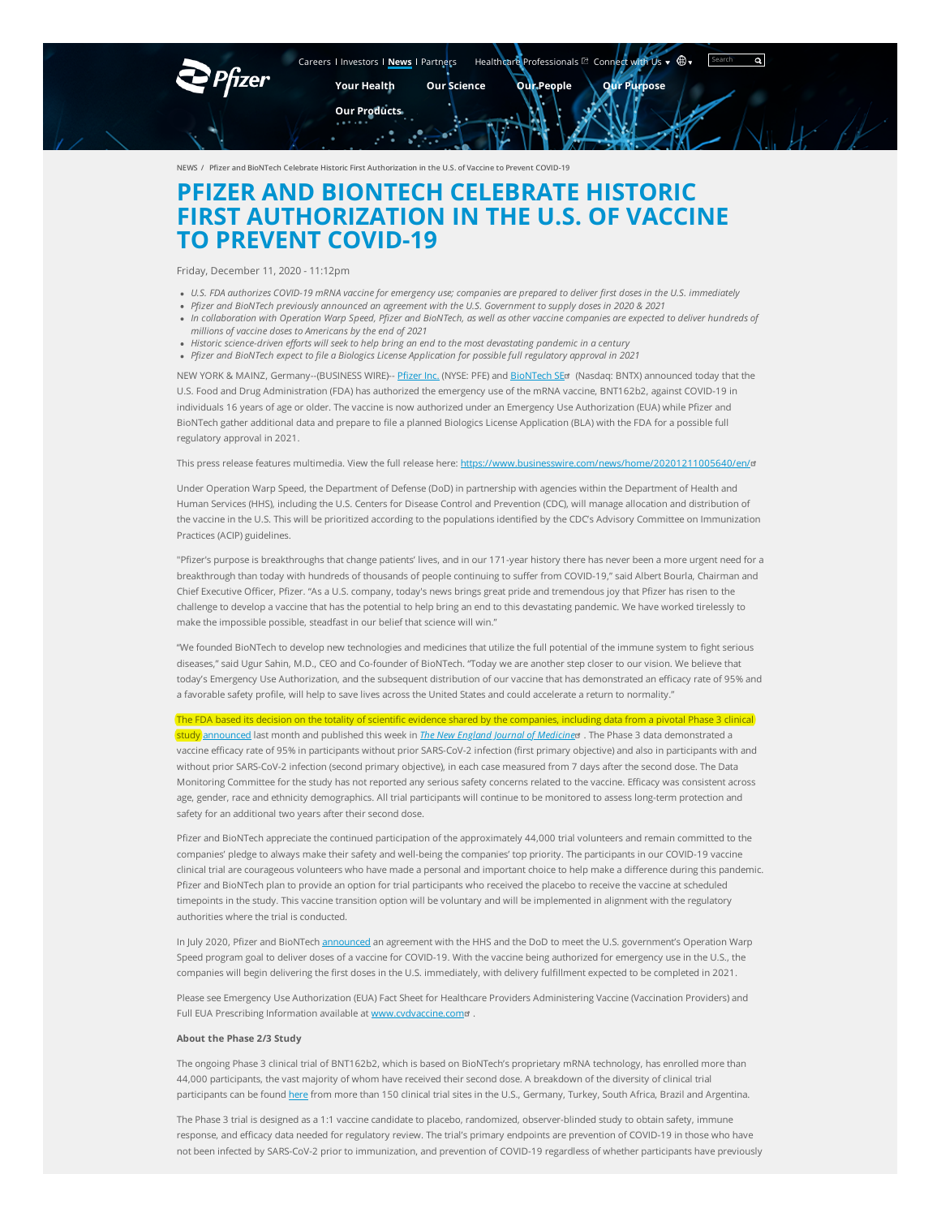

[NEWS](https://www.pfizer.com/news) / Pfizer and BioNTech Celebrate Historic First Authorization in the U.S. of Vaccine to Prevent COVID-19

# **PFIZER AND BIONTECH CELEBRATE HISTORIC FIRST AUTHORIZATION IN THE U.S. OF VACCINE TO PREVENT COVID-19**

Friday, December 11, 2020 - 11:12pm

- U.S. FDA authorizes COVID-19 mRNA vaccine for emergency use; companies are prepared to deliver first doses in the U.S. immediately
- Pfizer and BioNTech previously announced an agreement with the U.S. Government to supply doses in 2020 & 2021
- · In collaboration with Operation Warp Speed, Pfizer and BioNTech, as well as other vaccine companies are expected to deliver hundreds of *millions of vaccine doses to Americans by the end of 2021*
- Historic science-driven efforts will seek to help bring an end to the most devastating pandemic in a century · Pfizer and BioNTech expect to file a Biologics License Application for possible full regulatory approval in 2021
- NEW YORK & MAINZ, Germany--(BUSINESS WIRE)-- Prizer Inc. (NYSE: PFE) and [BioNTech](https://cts.businesswire.com/ct/CT?id=smartlink&url=http%3A%2F%2Fwww.biontech.de&esheet=52347443&newsitemid=20201211005640&lan=en-US&anchor=BioNTech+SE&index=2&md5=fcfa62eeec55d143e96e0b86e479f45e) SE (Nasdaq: BNTX) announced today that the

U.S. Food and Drug Administration (FDA) has authorized the emergency use of the mRNA vaccine, BNT162b2, against COVID-19 in individuals 16 years of age or older. The vaccine is now authorized under an Emergency Use Authorization (EUA) while Pfizer and BioNTech gather additional data and prepare to file a planned Biologics License Application (BLA) with the FDA for a possible full regulatory approval in 2021.

# This press release features multimedia. View the full release here: <https://www.businesswire.com/news/home/20201211005640/en/>d

Under Operation Warp Speed, the Department of Defense (DoD) in partnership with agencies within the Department of Health and Human Services (HHS), including the U.S. Centers for Disease Control and Prevention (CDC), will manage allocation and distribution of the vaccine in the U.S. This will be prioritized according to the populations identified by the CDC's Advisory Committee on Immunization Practices (ACIP) guidelines.

"Pfizer's purpose is breakthroughs that change patients' lives, and in our 171-year history there has never been a more urgent need for a breakthrough than today with hundreds of thousands of people continuing to suffer from COVID-19," said Albert Bourla, Chairman and Chief Executive Officer, Pfizer. "As a U.S. company, today's news brings great pride and tremendous joy that Pfizer has risen to the challenge to develop a vaccine that has the potential to help bring an end to this devastating pandemic. We have worked tirelessly to make the impossible possible, steadfast in our belief that science will win."

"We founded BioNTech to develop new technologies and medicines that utilize the full potential of the immune system to fight serious diseases," said Ugur Sahin, M.D., CEO and Co-founder of BioNTech. "Today we are another step closer to our vision. We believe that today's Emergency Use Authorization, and the subsequent distribution of our vaccine that has demonstrated an efficacy rate of 95% and a favorable safety profile, will help to save lives across the United States and could accelerate a return to normality."

# The FDA based its decision on the totality of scientific evidence shared by the companies, including data from a pivotal Phase 3 clinical

study [announced](https://cts.businesswire.com/ct/CT?id=smartlink&url=https%3A%2F%2Fwww.pfizer.com%2Fnews%2Fpress-release%2Fpress-release-detail%2Fpfizer-and-biontech-conclude-phase-3-study-covid-19-vaccine&esheet=52347443&newsitemid=20201211005640&lan=en-US&anchor=announced&index=3&md5=f5eb276489f58c229191f37b9b879978) last month and published this week in *The New England Journal of [Medicine](https://cts.businesswire.com/ct/CT?id=smartlink&url=https%3A%2F%2Fwww.nejm.org%2Fdoi%2Ffull%2F10.1056%2FNEJMoa2034577%3Fquery%3Dfeatured_home&esheet=52347443&newsitemid=20201211005640&lan=en-US&anchor=The+New+England+Journal+of+Medicine&index=4&md5=c2e861b8aa30300c3467912f2f28052d)* . The Phase 3 data demonstrated a vaccine efficacy rate of 95% in participants without prior SARS-CoV-2 infection (first primary objective) and also in participants with and without prior SARS-CoV-2 infection (second primary objective), in each case measured from 7 days after the second dose. The Data Monitoring Committee for the study has not reported any serious safety concerns related to the vaccine. Efficacy was consistent across age, gender, race and ethnicity demographics. All trial participants will continue to be monitored to assess long-term protection and safety for an additional two years after their second dose.

Pfizer and BioNTech appreciate the continued participation of the approximately 44,000 trial volunteers and remain committed to the companies' pledge to always make their safety and well-being the companies' top priority. The participants in our COVID-19 vaccine clinical trial are courageous volunteers who have made a personal and important choice to help make a dierence during this pandemic. Pfizer and BioNTech plan to provide an option for trial participants who received the placebo to receive the vaccine at scheduled timepoints in the study. This vaccine transition option will be voluntary and will be implemented in alignment with the regulatory authorities where the trial is conducted.

In July 2020, Pfizer and BioNTech [announced](https://cts.businesswire.com/ct/CT?id=smartlink&url=https%3A%2F%2Fwww.pfizer.com%2Fnews%2Fpress-release%2Fpress-release-detail%2Fpfizer-and-biontech-announce-agreement-us-government-600&esheet=52347443&newsitemid=20201211005640&lan=en-US&anchor=announced&index=5&md5=a60cce132f39e33a2546097151eb056e) an agreement with the HHS and the DoD to meet the U.S. government's Operation Warp Speed program goal to deliver doses of a vaccine for COVID-19. With the vaccine being authorized for emergency use in the U.S., the companies will begin delivering the first doses in the U.S. immediately, with delivery fulfillment expected to be completed in 2021.

Please see Emergency Use Authorization (EUA) Fact Sheet for Healthcare Providers Administering Vaccine (Vaccination Providers) and Full EUA Prescribing Information available at [www.cvdvaccine.com](https://cts.businesswire.com/ct/CT?id=smartlink&url=http%3A%2F%2Fwww.cvdvaccine.com&esheet=52347443&newsitemid=20201211005640&lan=en-US&anchor=www.cvdvaccine.com&index=6&md5=26cea05c10531bff0a7cb8a33ed66125)

### **About the Phase 2/3 Study**

The ongoing Phase 3 clinical trial of BNT162b2, which is based on BioNTech's proprietary mRNA technology, has enrolled more than 44,000 participants, the vast majority of whom have received their second dose. A breakdown of the diversity of clinical trial participants can be found [here](https://cts.businesswire.com/ct/CT?id=smartlink&url=https%3A%2F%2Fwww.pfizer.com%2Fscience%2Fcoronavirus%2Fvaccine&esheet=52347443&newsitemid=20201211005640&lan=en-US&anchor=here&index=7&md5=8d0e4537a06467410da88efbeba7f78b) from more than 150 clinical trial sites in the U.S., Germany, Turkey, South Africa, Brazil and Argentina.

The Phase 3 trial is designed as a 1:1 vaccine candidate to placebo, randomized, observer-blinded study to obtain safety, immune response, and efficacy data needed for regulatory review. The trial's primary endpoints are prevention of COVID-19 in those who have not been infected by SARS-CoV-2 prior to immunization, and prevention of COVID-19 regardless of whether participants have previously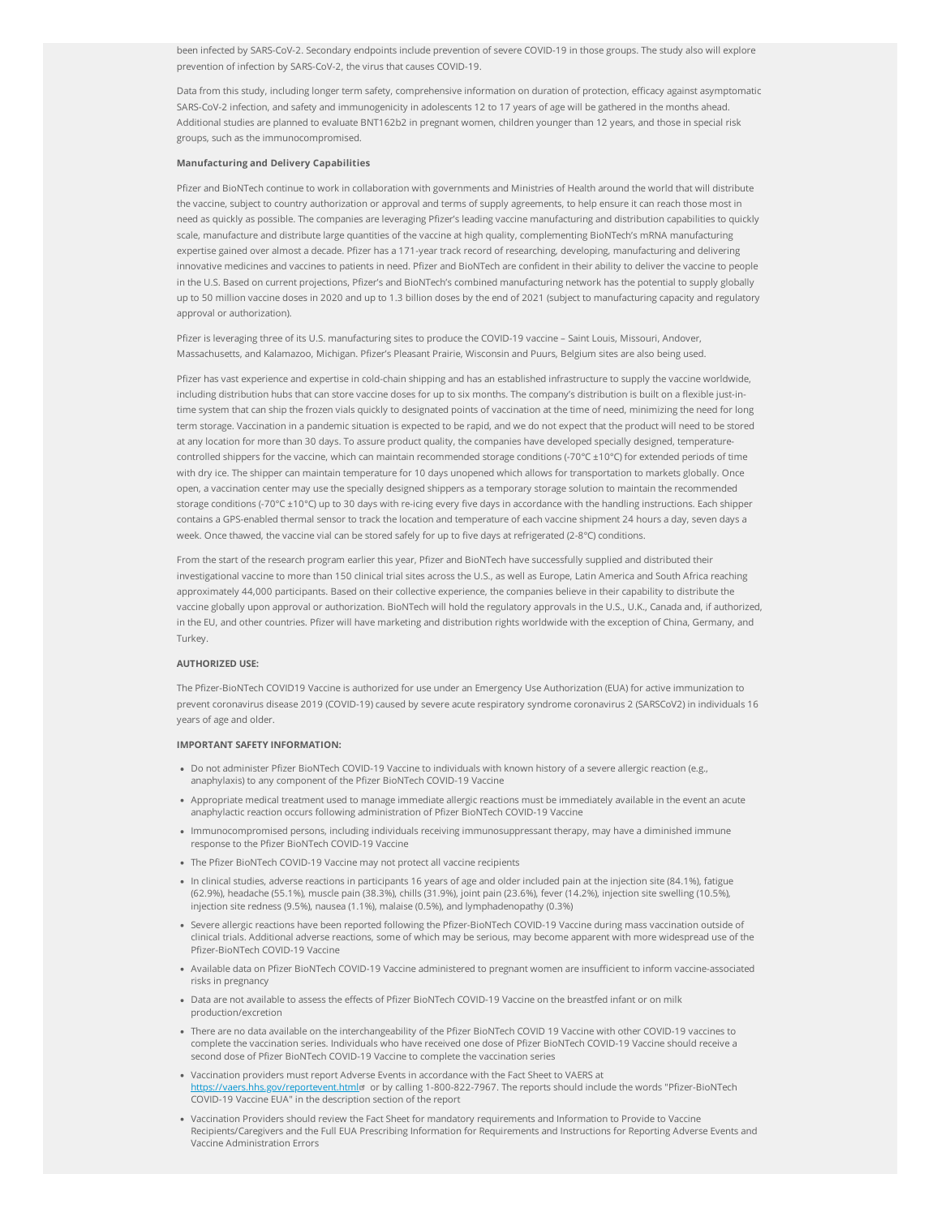been infected by SARS-CoV-2. Secondary endpoints include prevention of severe COVID-19 in those groups. The study also will explore prevention of infection by SARS-CoV-2, the virus that causes COVID-19.

Data from this study, including longer term safety, comprehensive information on duration of protection, efficacy against asymptomatic SARS-CoV-2 infection, and safety and immunogenicity in adolescents 12 to 17 years of age will be gathered in the months ahead. Additional studies are planned to evaluate BNT162b2 in pregnant women, children younger than 12 years, and those in special risk groups, such as the immunocompromised.

#### **Manufacturing and Delivery Capabilities**

Pfizer and BioNTech continue to work in collaboration with governments and Ministries of Health around the world that will distribute the vaccine, subject to country authorization or approval and terms of supply agreements, to help ensure it can reach those most in need as quickly as possible. The companies are leveraging Pfizer's leading vaccine manufacturing and distribution capabilities to quickly scale, manufacture and distribute large quantities of the vaccine at high quality, complementing BioNTech's mRNA manufacturing expertise gained over almost a decade. Pfizer has a 171-year track record of researching, developing, manufacturing and delivering innovative medicines and vaccines to patients in need. Pfizer and BioNTech are confident in their ability to deliver the vaccine to people in the U.S. Based on current projections, Pfizer's and BioNTech's combined manufacturing network has the potential to supply globally up to 50 million vaccine doses in 2020 and up to 1.3 billion doses by the end of 2021 (subject to manufacturing capacity and regulatory approval or authorization).

Pfizer is leveraging three of its U.S. manufacturing sites to produce the COVID-19 vaccine - Saint Louis, Missouri, Andover, Massachusetts, and Kalamazoo, Michigan. Pfizer's Pleasant Prairie, Wisconsin and Puurs, Belgium sites are also being used.

Pfizer has vast experience and expertise in cold-chain shipping and has an established infrastructure to supply the vaccine worldwide, including distribution hubs that can store vaccine doses for up to six months. The company's distribution is built on a flexible just-intime system that can ship the frozen vials quickly to designated points of vaccination at the time of need, minimizing the need for long term storage. Vaccination in a pandemic situation is expected to be rapid, and we do not expect that the product will need to be stored at any location for more than 30 days. To assure product quality, the companies have developed specially designed, temperaturecontrolled shippers for the vaccine, which can maintain recommended storage conditions (-70°C ±10°C) for extended periods of time with dry ice. The shipper can maintain temperature for 10 days unopened which allows for transportation to markets globally. Once open, a vaccination center may use the specially designed shippers as a temporary storage solution to maintain the recommended storage conditions (-70°C ±10°C) up to 30 days with re-icing every five days in accordance with the handling instructions. Each shipper contains a GPS-enabled thermal sensor to track the location and temperature of each vaccine shipment 24 hours a day, seven days a week. Once thawed, the vaccine vial can be stored safely for up to five days at refrigerated (2-8°C) conditions.

From the start of the research program earlier this year, Pfizer and BioNTech have successfully supplied and distributed their investigational vaccine to more than 150 clinical trial sites across the U.S., as well as Europe, Latin America and South Africa reaching approximately 44,000 participants. Based on their collective experience, the companies believe in their capability to distribute the vaccine globally upon approval or authorization. BioNTech will hold the regulatory approvals in the U.S., U.K., Canada and, if authorized, in the EU, and other countries. Pfizer will have marketing and distribution rights worldwide with the exception of China, Germany, and Turkey.

#### **AUTHORIZED USE:**

The Pfizer-BioNTech COVID19 Vaccine is authorized for use under an Emergency Use Authorization (EUA) for active immunization to prevent coronavirus disease 2019 (COVID-19) caused by severe acute respiratory syndrome coronavirus 2 (SARSCoV2) in individuals 16 years of age and older.

#### **IMPORTANT SAFETY INFORMATION:**

- Do not administer Pfizer BioNTech COVID-19 Vaccine to individuals with known history of a severe allergic reaction (e.g., anaphylaxis) to any component of the Pfizer BioNTech COVID-19 Vaccine
- Appropriate medical treatment used to manage immediate allergic reactions must be immediately available in the event an acute anaphylactic reaction occurs following administration of Pfizer BioNTech COVID-19 Vaccine
- Immunocompromised persons, including individuals receiving immunosuppressant therapy, may have a diminished immune response to the Pfizer BioNTech COVID-19 Vaccine
- The Pfizer BioNTech COVID-19 Vaccine may not protect all vaccine recipients
- In clinical studies, adverse reactions in participants 16 years of age and older included pain at the injection site (84.1%), fatigue (62.9%), headache (55.1%), muscle pain (38.3%), chills (31.9%), joint pain (23.6%), fever (14.2%), injection site swelling (10.5%), injection site redness (9.5%), nausea (1.1%), malaise (0.5%), and lymphadenopathy (0.3%)
- Severe allergic reactions have been reported following the Pfizer-BioNTech COVID-19 Vaccine during mass vaccination outside of clinical trials. Additional adverse reactions, some of which may be serious, may become apparent with more widespread use of the Pfizer-BioNTech COVID-19 Vaccine
- Available data on Pfizer BioNTech COVID-19 Vaccine administered to pregnant women are insufficient to inform vaccine-associated risks in pregnancy
- Data are not available to assess the effects of Pfizer BioNTech COVID-19 Vaccine on the breastfed infant or on milk production/excretion
- There are no data available on the interchangeability of the Pfizer BioNTech COVID 19 Vaccine with other COVID-19 vaccines to complete the vaccination series. Individuals who have received one dose of Pfizer BioNTech COVID-19 Vaccine should receive a second dose of Pfizer BioNTech COVID-19 Vaccine to complete the vaccination series
- Vaccination providers must report Adverse Events in accordance with the Fact Sheet to VAERS at [https://vaers.hhs.gov/reportevent.html](https://cts.businesswire.com/ct/CT?id=smartlink&url=https%3A%2F%2Fvaers.hhs.gov%2Freportevent.html&esheet=52347443&newsitemid=20201211005640&lan=en-US&anchor=https%3A%2F%2Fvaers.hhs.gov%2Freportevent.html&index=8&md5=ffcfc453d2d04a14add74a56bf4d5a44)<sup>a</sup> or by calling 1-800-822-7967. The reports should include the words "Pfizer-BioNTech COVID-19 Vaccine EUA" in the description section of the report
- Vaccination Providers should review the Fact Sheet for mandatory requirements and Information to Provide to Vaccine Recipients/Caregivers and the Full EUA Prescribing Information for Requirements and Instructions for Reporting Adverse Events and Vaccine Administration Errors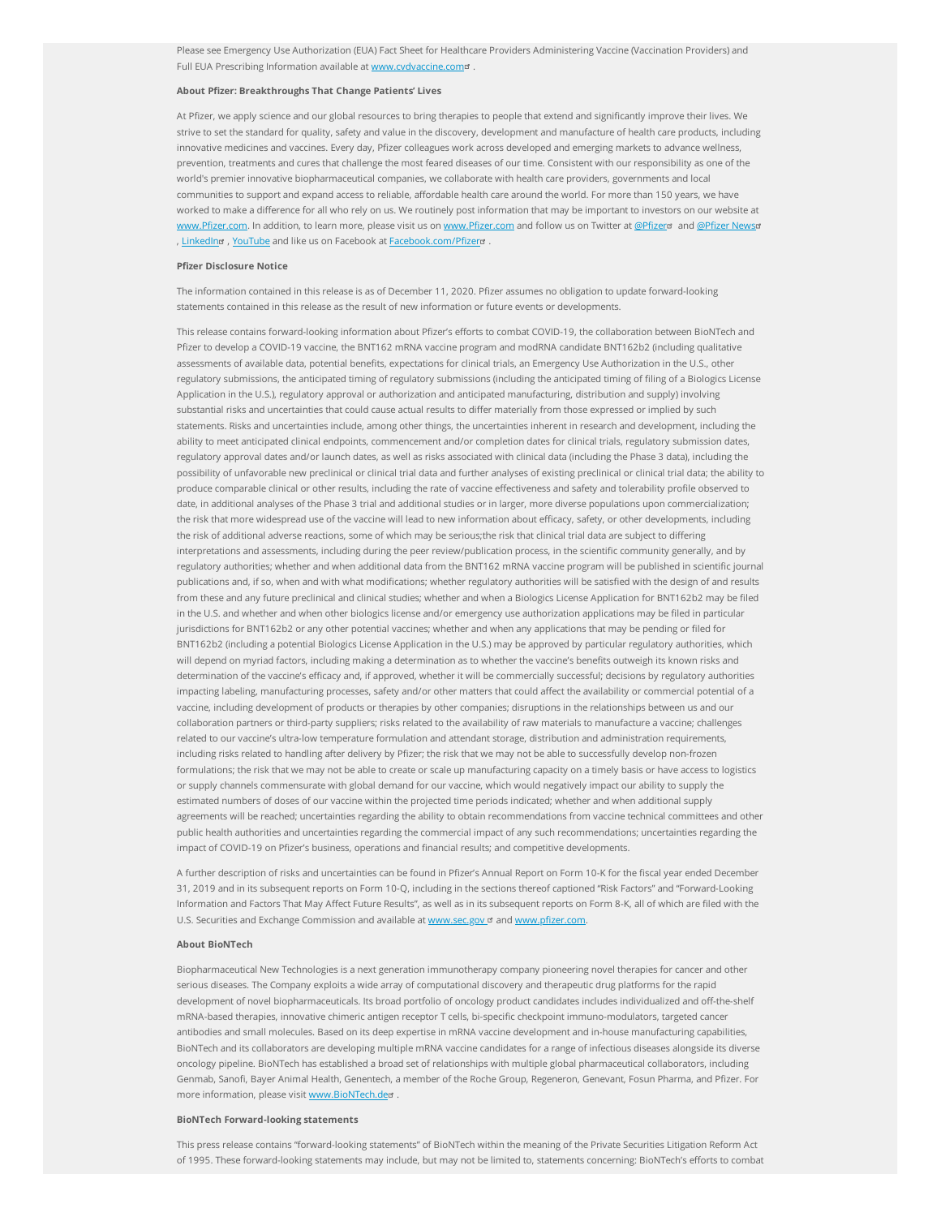Please see Emergency Use Authorization (EUA) Fact Sheet for Healthcare Providers Administering Vaccine (Vaccination Providers) and Full EUA Prescribing Information available at [www.cvdvaccine.com](https://cts.businesswire.com/ct/CT?id=smartlink&url=http%3A%2F%2Fwww.cvdvaccine.com&esheet=52347443&newsitemid=20201211005640&lan=en-US&anchor=www.cvdvaccine.com&index=9&md5=91cd293d1185fb95d858845a8ae5e4dc)<sup>a</sup>.

## **About Pzer: Breakthroughs That Change Patients' Lives**

At Pfizer, we apply science and our global resources to bring therapies to people that extend and significantly improve their lives. We strive to set the standard for quality, safety and value in the discovery, development and manufacture of health care products, including innovative medicines and vaccines. Every day, Pfizer colleagues work across developed and emerging markets to advance wellness, prevention, treatments and cures that challenge the most feared diseases of our time. Consistent with our responsibility as one of the world's premier innovative biopharmaceutical companies, we collaborate with health care providers, governments and local communities to support and expand access to reliable, affordable health care around the world. For more than 150 years, we have worked to make a difference for all who rely on us. We routinely post information that may be important to investors on our website at www.Pfizer.com. In addition, to learn more, please visit us on www.Pfizer.com and follow us on Twitter at @Pfizer and @Pfizer Newsd , [LinkedIn](https://cts.businesswire.com/ct/CT?id=smartlink&url=https%3A%2F%2Fwww.linkedin.com%2Fcompany%2Fpfizer&esheet=52347443&newsitemid=20201211005640&lan=en-US&anchor=LinkedIn&index=14&md5=a94513e280895d25bed2d4183dc31a32)<sup>o</sup>, [YouTube](https://cts.businesswire.com/ct/CT?id=smartlink&url=https%3A%2F%2Fwww.youtube.com%2Fpfizer&esheet=52347443&newsitemid=20201211005640&lan=en-US&anchor=YouTube&index=15&md5=865083fa339c62dac770ab2072bf2053) and like us on Facebook at **Facebook.com/Pfizer** .

#### **Pfizer Disclosure Notice**

The information contained in this release is as of December 11, 2020. Pfizer assumes no obligation to update forward-looking statements contained in this release as the result of new information or future events or developments.

This release contains forward-looking information about Pfizer's efforts to combat COVID-19, the collaboration between BioNTech and Pfizer to develop a COVID-19 vaccine, the BNT162 mRNA vaccine program and modRNA candidate BNT162b2 (including qualitative assessments of available data, potential benefits, expectations for clinical trials, an Emergency Use Authorization in the U.S., other regulatory submissions, the anticipated timing of regulatory submissions (including the anticipated timing of filing of a Biologics License Application in the U.S.), regulatory approval or authorization and anticipated manufacturing, distribution and supply) involving substantial risks and uncertainties that could cause actual results to differ materially from those expressed or implied by such statements. Risks and uncertainties include, among other things, the uncertainties inherent in research and development, including the ability to meet anticipated clinical endpoints, commencement and/or completion dates for clinical trials, regulatory submission dates, regulatory approval dates and/or launch dates, as well as risks associated with clinical data (including the Phase 3 data), including the possibility of unfavorable new preclinical or clinical trial data and further analyses of existing preclinical or clinical trial data; the ability to produce comparable clinical or other results, including the rate of vaccine effectiveness and safety and tolerability profile observed to date, in additional analyses of the Phase 3 trial and additional studies or in larger, more diverse populations upon commercialization; the risk that more widespread use of the vaccine will lead to new information about efficacy, safety, or other developments, including the risk of additional adverse reactions, some of which may be serious;the risk that clinical trial data are subject to differing interpretations and assessments, including during the peer review/publication process, in the scientific community generally, and by regulatory authorities; whether and when additional data from the BNT162 mRNA vaccine program will be published in scientific journal publications and, if so, when and with what modifications; whether regulatory authorities will be satisfied with the design of and results from these and any future preclinical and clinical studies; whether and when a Biologics License Application for BNT162b2 may be filed in the U.S. and whether and when other biologics license and/or emergency use authorization applications may be filed in particular jurisdictions for BNT162b2 or any other potential vaccines; whether and when any applications that may be pending or filed for BNT162b2 (including a potential Biologics License Application in the U.S.) may be approved by particular regulatory authorities, which will depend on myriad factors, including making a determination as to whether the vaccine's benefits outweigh its known risks and determination of the vaccine's efficacy and, if approved, whether it will be commercially successful; decisions by regulatory authorities impacting labeling, manufacturing processes, safety and/or other matters that could affect the availability or commercial potential of a vaccine, including development of products or therapies by other companies; disruptions in the relationships between us and our collaboration partners or third-party suppliers; risks related to the availability of raw materials to manufacture a vaccine; challenges related to our vaccine's ultra-low temperature formulation and attendant storage, distribution and administration requirements, including risks related to handling after delivery by Pfizer; the risk that we may not be able to successfully develop non-frozen formulations; the risk that we may not be able to create or scale up manufacturing capacity on a timely basis or have access to logistics or supply channels commensurate with global demand for our vaccine, which would negatively impact our ability to supply the estimated numbers of doses of our vaccine within the projected time periods indicated; whether and when additional supply agreements will be reached; uncertainties regarding the ability to obtain recommendations from vaccine technical committees and other public health authorities and uncertainties regarding the commercial impact of any such recommendations; uncertainties regarding the impact of COVID-19 on Pfizer's business, operations and financial results; and competitive developments.

A further description of risks and uncertainties can be found in Pfizer's Annual Report on Form 10-K for the fiscal year ended December 31, 2019 and in its subsequent reports on Form 10-Q, including in the sections thereof captioned "Risk Factors" and "Forward-Looking Information and Factors That May Affect Future Results", as well as in its subsequent reports on Form 8-K, all of which are filed with the U.S. Securities and Exchange Commission and available at [www.sec.gov](https://cts.businesswire.com/ct/CT?id=smartlink&url=https%3A%2F%2Fwww.globenewswire.com%2FTracker%3Fdata%3DRnYjuX1qNnk63wnFRI2njqkWCUtSvj6x_99MqPLwYIXuudw4effilg2LyEquwqm-7QGJ6tM6dhKt8Yb6iY-5gw%3D%3D&esheet=52347443&newsitemid=20201211005640&lan=en-US&anchor=www.sec.gov&index=17&md5=3b3cc3e5a9f9f193ae6155a10b377d23) a and www.pfizer.com.

## **About BioNTech**

Biopharmaceutical New Technologies is a next generation immunotherapy company pioneering novel therapies for cancer and other serious diseases. The Company exploits a wide array of computational discovery and therapeutic drug platforms for the rapid development of novel biopharmaceuticals. Its broad portfolio of oncology product candidates includes individualized and off-the-shelf mRNA-based therapies, innovative chimeric antigen receptor T cells, bi-specific checkpoint immuno-modulators, targeted cancer antibodies and small molecules. Based on its deep expertise in mRNA vaccine development and in-house manufacturing capabilities, BioNTech and its collaborators are developing multiple mRNA vaccine candidates for a range of infectious diseases alongside its diverse oncology pipeline. BioNTech has established a broad set of relationships with multiple global pharmaceutical collaborators, including Genmab, Sanofi, Bayer Animal Health, Genentech, a member of the Roche Group, Regeneron, Genevant, Fosun Pharma, and Pfizer. For more information, please visit [www.BioNTech.de](https://cts.businesswire.com/ct/CT?id=smartlink&url=http%3A%2F%2Fwww.BioNTech.de&esheet=52347443&newsitemid=20201211005640&lan=en-US&anchor=www.BioNTech.de&index=19&md5=2894febdbd8f639bd150326747ccaf07)

#### **BioNTech Forward-looking statements**

This press release contains "forward-looking statements" of BioNTech within the meaning of the Private Securities Litigation Reform Act of 1995. These forward-looking statements may include, but may not be limited to, statements concerning: BioNTech's efforts to combat